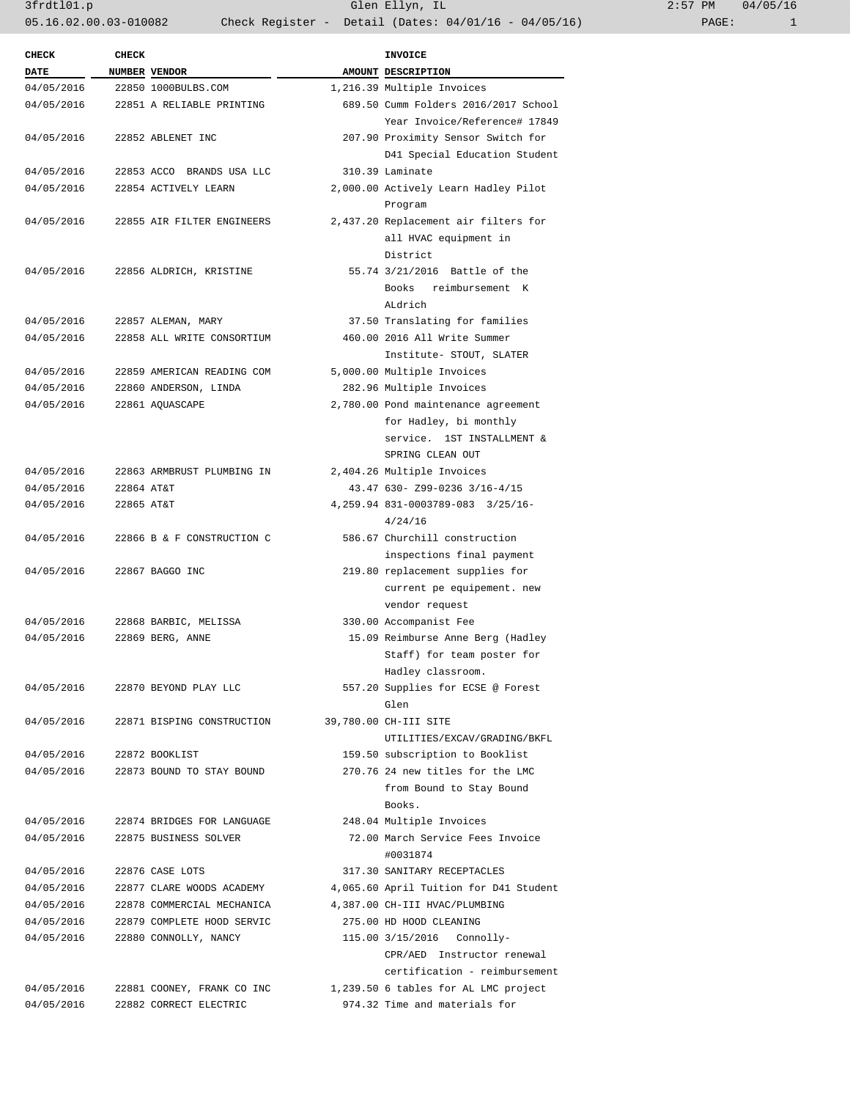3frdtl01.p Glen Ellyn, IL 2:57 PM 04/05/16 05.16.02.00.03-010082 Check Register - Detail (Dates: 04/01/16 - 04/05/16)

| <b>CHECK</b>              | <b>CHECK</b> |                                      | <b>INVOICE</b>                                                           |
|---------------------------|--------------|--------------------------------------|--------------------------------------------------------------------------|
| <b>DATE</b><br>04/05/2016 |              | NUMBER VENDOR<br>22850 1000BULBS.COM | AMOUNT DESCRIPTION<br>1,216.39 Multiple Invoices                         |
| 04/05/2016                |              | 22851 A RELIABLE PRINTING            | 689.50 Cumm Folders 2016/2017 School                                     |
|                           |              |                                      | Year Invoice/Reference# 17849                                            |
| 04/05/2016                |              | 22852 ABLENET INC                    | 207.90 Proximity Sensor Switch for<br>D41 Special Education Student      |
| 04/05/2016                |              | 22853 ACCO BRANDS USA LLC            | 310.39 Laminate                                                          |
| 04/05/2016                |              | 22854 ACTIVELY LEARN                 | 2,000.00 Actively Learn Hadley Pilot                                     |
|                           |              |                                      | Program                                                                  |
| 04/05/2016                |              | 22855 AIR FILTER ENGINEERS           | 2,437.20 Replacement air filters for                                     |
|                           |              |                                      | all HVAC equipment in                                                    |
|                           |              |                                      | District                                                                 |
| 04/05/2016                |              | 22856 ALDRICH, KRISTINE              | 55.74 3/21/2016 Battle of the<br>Books reimbursement K<br>ALdrich        |
| 04/05/2016                |              | 22857 ALEMAN, MARY                   | 37.50 Translating for families                                           |
| 04/05/2016                |              | 22858 ALL WRITE CONSORTIUM           | 460.00 2016 All Write Summer                                             |
|                           |              |                                      | Institute- STOUT, SLATER                                                 |
| 04/05/2016                |              | 22859 AMERICAN READING COM           | 5,000.00 Multiple Invoices                                               |
| 04/05/2016                |              | 22860 ANDERSON, LINDA                | 282.96 Multiple Invoices                                                 |
| 04/05/2016                |              | 22861 AQUASCAPE                      | 2,780.00 Pond maintenance agreement                                      |
|                           |              |                                      | for Hadley, bi monthly<br>service. 1ST INSTALLMENT &<br>SPRING CLEAN OUT |
| 04/05/2016                |              | 22863 ARMBRUST PLUMBING IN           | 2,404.26 Multiple Invoices                                               |
| 04/05/2016                | 22864 AT&T   |                                      | 43.47 630- Z99-0236 3/16-4/15                                            |
| 04/05/2016                | 22865 AT&T   |                                      | 4, 259.94 831-0003789-083 3/25/16-                                       |
|                           |              |                                      | 4/24/16                                                                  |
| 04/05/2016                |              | 22866 B & F CONSTRUCTION C           | 586.67 Churchill construction                                            |
|                           |              |                                      | inspections final payment                                                |
| 04/05/2016                |              | 22867 BAGGO INC                      | 219.80 replacement supplies for                                          |
|                           |              |                                      | current pe equipement. new                                               |
|                           |              |                                      | vendor request                                                           |
| 04/05/2016                |              | 22868 BARBIC, MELISSA                | 330.00 Accompanist Fee                                                   |
| 04/05/2016                |              | 22869 BERG, ANNE                     | 15.09 Reimburse Anne Berg (Hadley                                        |
|                           |              |                                      | Staff) for team poster for                                               |
|                           |              |                                      | Hadley classroom.                                                        |
|                           |              | 04/05/2016 22870 BEYOND PLAY LLC     | 557.20 Supplies for ECSE @ Forest                                        |
|                           |              |                                      | Glen                                                                     |
| 04/05/2016                |              | 22871 BISPING CONSTRUCTION           | 39,780.00 CH-III SITE                                                    |
|                           |              |                                      | UTILITIES/EXCAV/GRADING/BKFL                                             |
| 04/05/2016                |              | 22872 BOOKLIST                       | 159.50 subscription to Booklist                                          |
| 04/05/2016                |              | 22873 BOUND TO STAY BOUND            | 270.76 24 new titles for the LMC                                         |
|                           |              |                                      | from Bound to Stay Bound                                                 |
|                           |              |                                      | Books.                                                                   |
| 04/05/2016                |              | 22874 BRIDGES FOR LANGUAGE           | 248.04 Multiple Invoices                                                 |
| 04/05/2016                |              | 22875 BUSINESS SOLVER                | 72.00 March Service Fees Invoice<br>#0031874                             |
| 04/05/2016                |              | 22876 CASE LOTS                      | 317.30 SANITARY RECEPTACLES                                              |
| 04/05/2016                |              | 22877 CLARE WOODS ACADEMY            | 4,065.60 April Tuition for D41 Student                                   |
| 04/05/2016                |              | 22878 COMMERCIAL MECHANICA           | 4,387.00 CH-III HVAC/PLUMBING                                            |
| 04/05/2016                |              | 22879 COMPLETE HOOD SERVIC           | 275.00 HD HOOD CLEANING                                                  |
| 04/05/2016                |              | 22880 CONNOLLY, NANCY                | 115.00 3/15/2016 Connolly-                                               |
|                           |              |                                      | CPR/AED Instructor renewal                                               |
|                           |              |                                      | certification - reimbursement                                            |
| 04/05/2016                |              | 22881 COONEY, FRANK CO INC           | 1,239.50 6 tables for AL LMC project                                     |
| 04/05/2016                |              | 22882 CORRECT ELECTRIC               | 974.32 Time and materials for                                            |
|                           |              |                                      |                                                                          |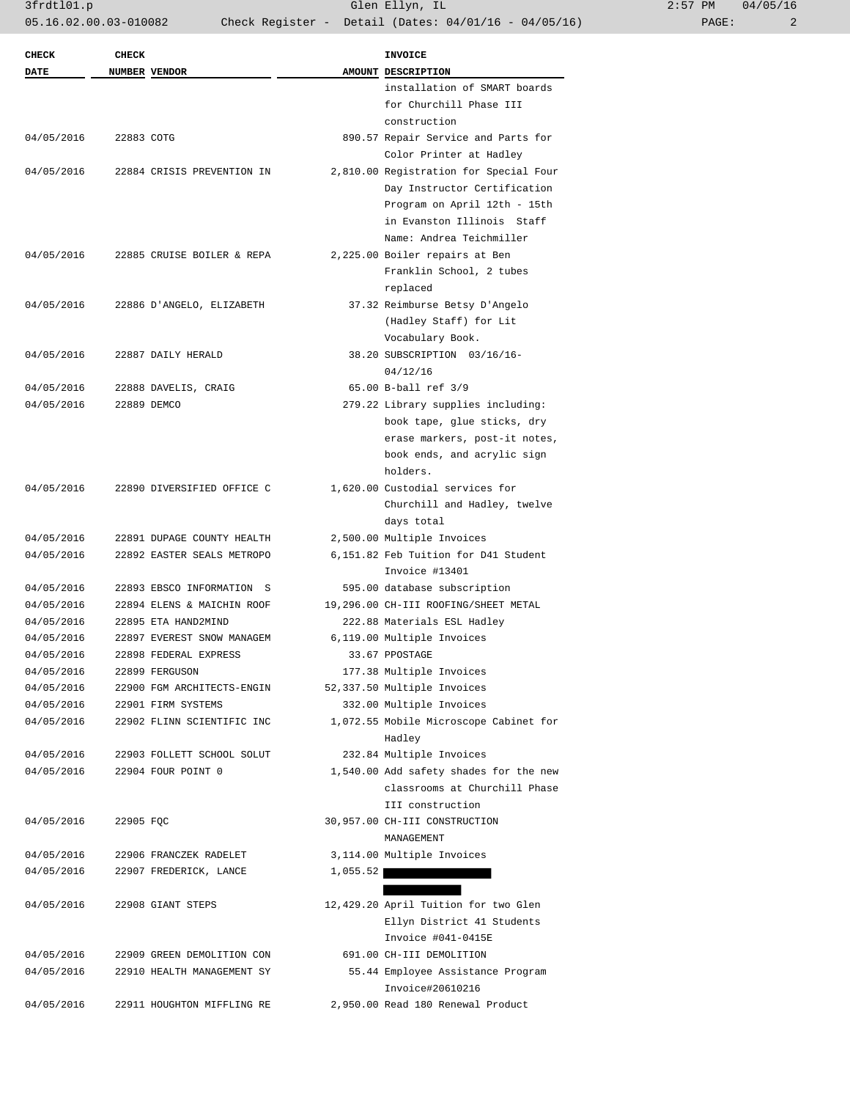3frdtl01.p Glen Ellyn, IL 2:57 PM 04/05/16 05.16.02.00.03-010082 Check Register - Detail (Dates: 04/01/16 - 04/05/16) PAGE: 2

| <b>CHECK</b> | <b>CHECK</b> |                            |          | <b>INVOICE</b>                         |
|--------------|--------------|----------------------------|----------|----------------------------------------|
| DATE         |              | NUMBER VENDOR              |          | AMOUNT DESCRIPTION                     |
|              |              |                            |          | installation of SMART boards           |
|              |              |                            |          | for Churchill Phase III                |
|              |              |                            |          | construction                           |
| 04/05/2016   | 22883 COTG   |                            |          | 890.57 Repair Service and Parts for    |
|              |              |                            |          | Color Printer at Hadley                |
| 04/05/2016   |              | 22884 CRISIS PREVENTION IN |          | 2,810.00 Registration for Special Four |
|              |              |                            |          | Day Instructor Certification           |
|              |              |                            |          | Program on April 12th - 15th           |
|              |              |                            |          | in Evanston Illinois Staff             |
|              |              |                            |          | Name: Andrea Teichmiller               |
| 04/05/2016   |              | 22885 CRUISE BOILER & REPA |          | 2,225.00 Boiler repairs at Ben         |
|              |              |                            |          | Franklin School, 2 tubes               |
|              |              |                            |          | replaced                               |
| 04/05/2016   |              | 22886 D'ANGELO, ELIZABETH  |          | 37.32 Reimburse Betsy D'Angelo         |
|              |              |                            |          | (Hadley Staff) for Lit                 |
|              |              |                            |          | Vocabulary Book.                       |
| 04/05/2016   |              | 22887 DAILY HERALD         |          | 38.20 SUBSCRIPTION 03/16/16-           |
|              |              |                            |          | 04/12/16                               |
| 04/05/2016   |              | 22888 DAVELIS, CRAIG       |          | 65.00 B-ball ref 3/9                   |
| 04/05/2016   |              | 22889 DEMCO                |          | 279.22 Library supplies including:     |
|              |              |                            |          | book tape, glue sticks, dry            |
|              |              |                            |          | erase markers, post-it notes,          |
|              |              |                            |          | book ends, and acrylic sign            |
|              |              |                            |          | holders.                               |
| 04/05/2016   |              | 22890 DIVERSIFIED OFFICE C |          | 1,620.00 Custodial services for        |
|              |              |                            |          | Churchill and Hadley, twelve           |
|              |              |                            |          | days total                             |
| 04/05/2016   |              | 22891 DUPAGE COUNTY HEALTH |          | 2,500.00 Multiple Invoices             |
| 04/05/2016   |              | 22892 EASTER SEALS METROPO |          | 6,151.82 Feb Tuition for D41 Student   |
|              |              |                            |          | Invoice #13401                         |
| 04/05/2016   |              | 22893 EBSCO INFORMATION S  |          | 595.00 database subscription           |
| 04/05/2016   |              | 22894 ELENS & MAICHIN ROOF |          | 19,296.00 CH-III ROOFING/SHEET METAL   |
| 04/05/2016   |              | 22895 ETA HAND2MIND        |          | 222.88 Materials ESL Hadley            |
| 04/05/2016   |              | 22897 EVEREST SNOW MANAGEM |          | 6,119.00 Multiple Invoices             |
| 04/05/2016   |              | 22898 FEDERAL EXPRESS      |          | 33.67 PPOSTAGE                         |
| 04/05/2016   |              | 22899 FERGUSON             |          | 177.38 Multiple Invoices               |
| 04/05/2016   |              | 22900 FGM ARCHITECTS-ENGIN |          | 52,337.50 Multiple Invoices            |
| 04/05/2016   |              | 22901 FIRM SYSTEMS         |          | 332.00 Multiple Invoices               |
| 04/05/2016   |              | 22902 FLINN SCIENTIFIC INC |          | 1,072.55 Mobile Microscope Cabinet for |
|              |              |                            |          | Hadley                                 |
| 04/05/2016   |              | 22903 FOLLETT SCHOOL SOLUT |          | 232.84 Multiple Invoices               |
| 04/05/2016   |              | 22904 FOUR POINT 0         |          | 1,540.00 Add safety shades for the new |
|              |              |                            |          | classrooms at Churchill Phase          |
|              |              |                            |          | III construction                       |
| 04/05/2016   | 22905 FOC    |                            |          | 30,957.00 CH-III CONSTRUCTION          |
|              |              |                            |          | MANAGEMENT                             |
| 04/05/2016   |              | 22906 FRANCZEK RADELET     |          | 3,114.00 Multiple Invoices             |
| 04/05/2016   |              | 22907 FREDERICK, LANCE     | 1,055.52 |                                        |
|              |              |                            |          |                                        |
| 04/05/2016   |              | 22908 GIANT STEPS          |          | 12,429.20 April Tuition for two Glen   |
|              |              |                            |          | Ellyn District 41 Students             |
|              |              |                            |          | Invoice #041-0415E                     |
| 04/05/2016   |              | 22909 GREEN DEMOLITION CON |          | 691.00 CH-III DEMOLITION               |
| 04/05/2016   |              | 22910 HEALTH MANAGEMENT SY |          | 55.44 Employee Assistance Program      |
|              |              |                            |          | Invoice#20610216                       |
| 04/05/2016   |              | 22911 HOUGHTON MIFFLING RE |          | 2,950.00 Read 180 Renewal Product      |
|              |              |                            |          |                                        |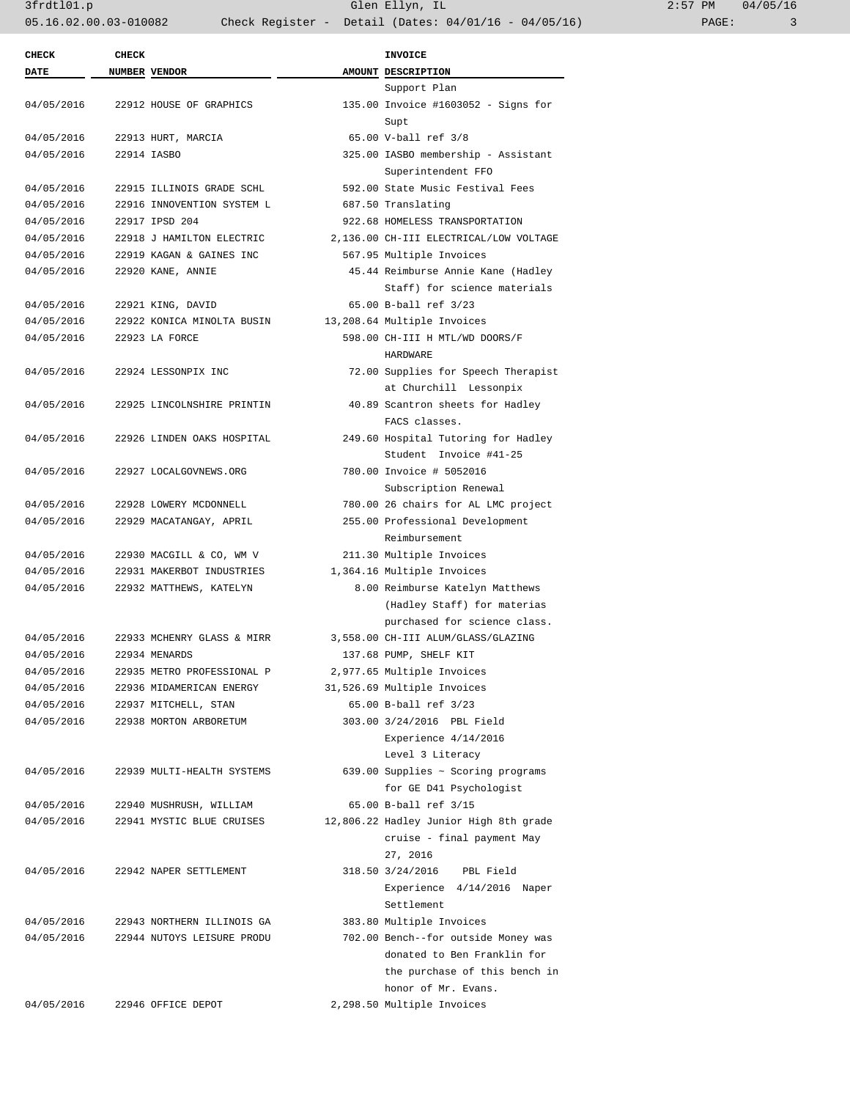3frdtl01.p Glen Ellyn, IL 2:57 PM 04/05/16 05.16.02.00.03-010082 Check Register - Detail (Dates: 04/01/16 - 04/05/16)

| <b>CHECK</b>             | <b>CHECK</b>  |                                                 | <b>INVOICE</b>                                                     |
|--------------------------|---------------|-------------------------------------------------|--------------------------------------------------------------------|
| DATE                     | NUMBER VENDOR |                                                 | AMOUNT DESCRIPTION                                                 |
|                          |               |                                                 | Support Plan                                                       |
| 04/05/2016               |               | 22912 HOUSE OF GRAPHICS                         | 135.00 Invoice #1603052 - Signs for                                |
|                          |               |                                                 | Supt                                                               |
| 04/05/2016               |               | 22913 HURT, MARCIA                              | 65.00 V-ball ref 3/8                                               |
| 04/05/2016               |               | 22914 IASBO                                     | 325.00 IASBO membership - Assistant                                |
|                          |               |                                                 | Superintendent FFO                                                 |
| 04/05/2016               |               | 22915 ILLINOIS GRADE SCHL                       | 592.00 State Music Festival Fees                                   |
| 04/05/2016               |               | 22916 INNOVENTION SYSTEM L                      | 687.50 Translating                                                 |
| 04/05/2016               |               | 22917 IPSD 204                                  | 922.68 HOMELESS TRANSPORTATION                                     |
| 04/05/2016               |               | 22918 J HAMILTON ELECTRIC                       | 2,136.00 CH-III ELECTRICAL/LOW VOLTAGE                             |
| 04/05/2016               |               | 22919 KAGAN & GAINES INC                        | 567.95 Multiple Invoices                                           |
| 04/05/2016               |               | 22920 KANE, ANNIE                               | 45.44 Reimburse Annie Kane (Hadley<br>Staff) for science materials |
|                          |               |                                                 |                                                                    |
| 04/05/2016<br>04/05/2016 |               | 22921 KING, DAVID<br>22922 KONICA MINOLTA BUSIN | 65.00 B-ball ref 3/23                                              |
|                          |               |                                                 | 13,208.64 Multiple Invoices                                        |
| 04/05/2016               |               | 22923 LA FORCE                                  | 598.00 CH-III H MTL/WD DOORS/F<br><b>HARDWARE</b>                  |
| 04/05/2016               |               | 22924 LESSONPIX INC                             | 72.00 Supplies for Speech Therapist                                |
|                          |               |                                                 | at Churchill Lessonpix                                             |
| 04/05/2016               |               | 22925 LINCOLNSHIRE PRINTIN                      | 40.89 Scantron sheets for Hadley                                   |
|                          |               |                                                 | FACS classes.                                                      |
| 04/05/2016               |               | 22926 LINDEN OAKS HOSPITAL                      | 249.60 Hospital Tutoring for Hadley                                |
|                          |               |                                                 | Student Invoice #41-25                                             |
| 04/05/2016               |               | 22927 LOCALGOVNEWS.ORG                          | 780.00 Invoice # 5052016                                           |
|                          |               |                                                 | Subscription Renewal                                               |
| 04/05/2016               |               | 22928 LOWERY MCDONNELL                          | 780.00 26 chairs for AL LMC project                                |
| 04/05/2016               |               | 22929 MACATANGAY, APRIL                         | 255.00 Professional Development                                    |
|                          |               |                                                 | Reimbursement                                                      |
| 04/05/2016               |               | 22930 MACGILL & CO, WM V                        | 211.30 Multiple Invoices                                           |
| 04/05/2016               |               | 22931 MAKERBOT INDUSTRIES                       | 1,364.16 Multiple Invoices                                         |
| 04/05/2016               |               | 22932 MATTHEWS, KATELYN                         | 8.00 Reimburse Katelyn Matthews                                    |
|                          |               |                                                 | (Hadley Staff) for materias                                        |
|                          |               |                                                 | purchased for science class.                                       |
| 04/05/2016               |               | 22933 MCHENRY GLASS & MIRR                      | 3,558.00 CH-III ALUM/GLASS/GLAZING                                 |
| 04/05/2016               |               | 22934 MENARDS                                   | 137.68 PUMP, SHELF KIT                                             |
| 04/05/2016               |               | 22935 METRO PROFESSIONAL P                      | 2,977.65 Multiple Invoices                                         |
| 04/05/2016               |               | 22936 MIDAMERICAN ENERGY                        | 31,526.69 Multiple Invoices                                        |
| 04/05/2016               |               | 22937 MITCHELL, STAN                            | 65.00 B-ball ref 3/23                                              |
| 04/05/2016               |               | 22938 MORTON ARBORETUM                          | 303.00 3/24/2016 PBL Field                                         |
|                          |               |                                                 | Experience 4/14/2016                                               |
|                          |               |                                                 | Level 3 Literacy                                                   |
| 04/05/2016               |               | 22939 MULTI-HEALTH SYSTEMS                      | 639.00 Supplies ~ Scoring programs                                 |
|                          |               |                                                 | for GE D41 Psychologist                                            |
| 04/05/2016               |               | 22940 MUSHRUSH, WILLIAM                         | 65.00 B-ball ref 3/15                                              |
| 04/05/2016               |               | 22941 MYSTIC BLUE CRUISES                       | 12,806.22 Hadley Junior High 8th grade                             |
|                          |               |                                                 | cruise - final payment May                                         |
|                          |               |                                                 | 27, 2016                                                           |
| 04/05/2016               |               | 22942 NAPER SETTLEMENT                          | 318.50 3/24/2016<br>PBL Field                                      |
|                          |               |                                                 | Experience 4/14/2016 Naper                                         |
|                          |               |                                                 | Settlement                                                         |
| 04/05/2016               |               | 22943 NORTHERN ILLINOIS GA                      | 383.80 Multiple Invoices                                           |
| 04/05/2016               |               | 22944 NUTOYS LEISURE PRODU                      | 702.00 Bench--for outside Money was                                |
|                          |               |                                                 | donated to Ben Franklin for                                        |
|                          |               |                                                 |                                                                    |
|                          |               |                                                 | the purchase of this bench in<br>honor of Mr. Evans.               |
|                          |               |                                                 |                                                                    |
| 04/05/2016               |               | 22946 OFFICE DEPOT                              | 2,298.50 Multiple Invoices                                         |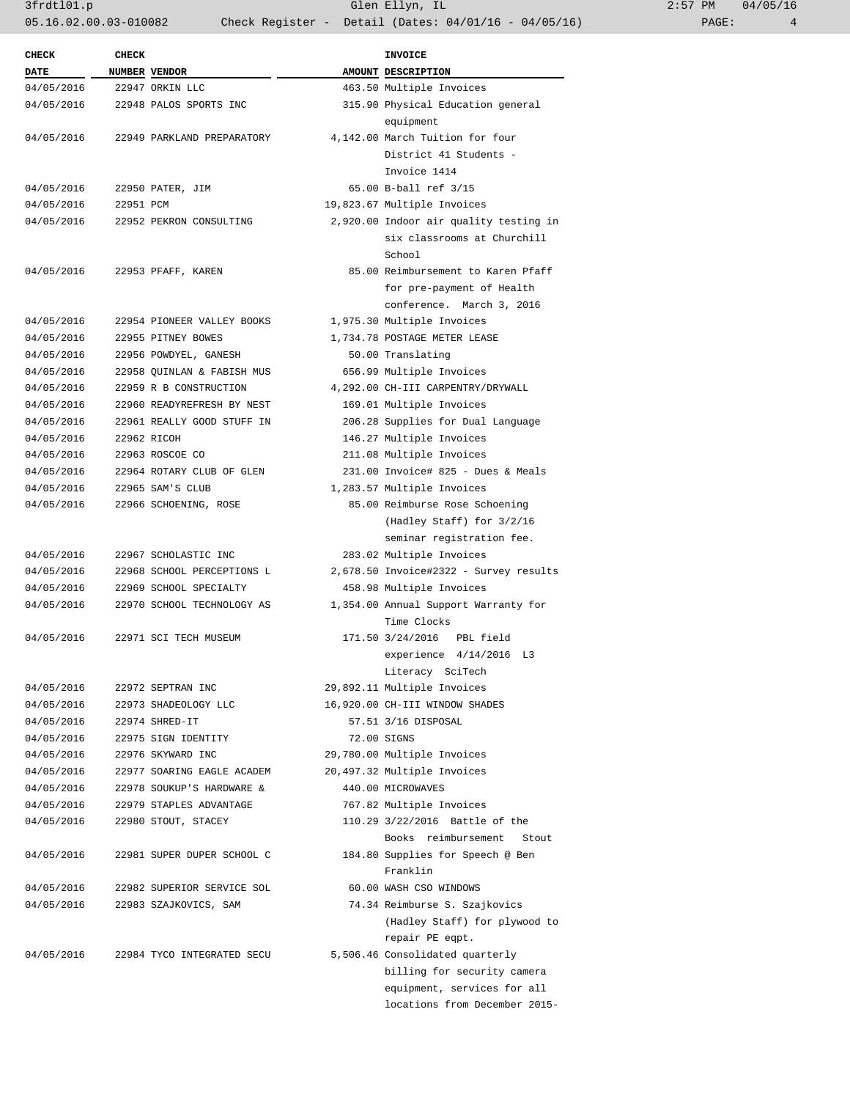3frdtl01.p Glen Ellyn, IL 2:57 PM 04/05/16 05.16.02.00.03-010082 Check Register - Detail (Dates: 04/01/16 - 04/05/16)

| <b>CHECK</b>             | <b>CHECK</b>  |                                           | <b>INVOICE</b>                                              |
|--------------------------|---------------|-------------------------------------------|-------------------------------------------------------------|
| DATE                     | NUMBER VENDOR |                                           | AMOUNT DESCRIPTION                                          |
| 04/05/2016               |               | 22947 ORKIN LLC                           | 463.50 Multiple Invoices                                    |
| 04/05/2016               |               | 22948 PALOS SPORTS INC                    | 315.90 Physical Education general<br>equipment              |
| 04/05/2016               |               | 22949 PARKLAND PREPARATORY                | 4,142.00 March Tuition for four                             |
|                          |               |                                           | District 41 Students -                                      |
|                          |               |                                           | Invoice 1414                                                |
| 04/05/2016               |               | 22950 PATER, JIM                          | 65.00 B-ball ref 3/15                                       |
| 04/05/2016               | 22951 PCM     |                                           | 19,823.67 Multiple Invoices                                 |
| 04/05/2016               |               | 22952 PEKRON CONSULTING                   | 2,920.00 Indoor air quality testing in                      |
|                          |               |                                           | six classrooms at Churchill<br>School                       |
|                          |               |                                           | 85.00 Reimbursement to Karen Pfaff                          |
| 04/05/2016               |               | 22953 PFAFF, KAREN                        | for pre-payment of Health                                   |
|                          |               |                                           | conference. March 3, 2016                                   |
| 04/05/2016               |               | 22954 PIONEER VALLEY BOOKS                | 1,975.30 Multiple Invoices                                  |
| 04/05/2016               |               | 22955 PITNEY BOWES                        | 1,734.78 POSTAGE METER LEASE                                |
| 04/05/2016               |               | 22956 POWDYEL, GANESH                     | 50.00 Translating                                           |
| 04/05/2016               |               | 22958 OUINLAN & FABISH MUS                | 656.99 Multiple Invoices                                    |
| 04/05/2016               |               | 22959 R B CONSTRUCTION                    | 4,292.00 CH-III CARPENTRY/DRYWALL                           |
| 04/05/2016               |               | 22960 READYREFRESH BY NEST                | 169.01 Multiple Invoices                                    |
| 04/05/2016               |               | 22961 REALLY GOOD STUFF IN                | 206.28 Supplies for Dual Language                           |
| 04/05/2016               |               | 22962 RICOH                               | 146.27 Multiple Invoices                                    |
| 04/05/2016               |               | 22963 ROSCOE CO                           | 211.08 Multiple Invoices                                    |
| 04/05/2016               |               | 22964 ROTARY CLUB OF GLEN                 | 231.00 Invoice# 825 - Dues & Meals                          |
| 04/05/2016               |               | 22965 SAM'S CLUB                          | 1,283.57 Multiple Invoices                                  |
| 04/05/2016               |               | 22966 SCHOENING, ROSE                     | 85.00 Reimburse Rose Schoening                              |
|                          |               |                                           | (Hadley Staff) for 3/2/16                                   |
|                          |               |                                           | seminar registration fee.                                   |
| 04/05/2016               |               | 22967 SCHOLASTIC INC                      | 283.02 Multiple Invoices                                    |
| 04/05/2016               |               | 22968 SCHOOL PERCEPTIONS L                | 2,678.50 Invoice#2322 - Survey results                      |
| 04/05/2016               |               | 22969 SCHOOL SPECIALTY                    | 458.98 Multiple Invoices                                    |
| 04/05/2016               |               | 22970 SCHOOL TECHNOLOGY AS                | 1,354.00 Annual Support Warranty for                        |
|                          |               |                                           | Time Clocks                                                 |
| 04/05/2016               |               | 22971 SCI TECH MUSEUM                     | 171.50 3/24/2016 PBL field                                  |
|                          |               |                                           | experience $4/14/2016$ L3                                   |
|                          |               |                                           |                                                             |
|                          |               |                                           | Literacy SciTech<br>29,892.11 Multiple Invoices             |
| 04/05/2016<br>04/05/2016 |               | 22972 SEPTRAN INC<br>22973 SHADEOLOGY LLC |                                                             |
|                          |               | 22974 SHRED-IT                            | 16,920.00 CH-III WINDOW SHADES                              |
| 04/05/2016               |               |                                           | 57.51 3/16 DISPOSAL                                         |
| 04/05/2016               |               | 22975 SIGN IDENTITY                       | 72.00 SIGNS                                                 |
| 04/05/2016               |               | 22976 SKYWARD INC                         | 29,780.00 Multiple Invoices                                 |
| 04/05/2016               |               | 22977 SOARING EAGLE ACADEM                | 20,497.32 Multiple Invoices                                 |
| 04/05/2016               |               | 22978 SOUKUP'S HARDWARE &                 | 440.00 MICROWAVES                                           |
| 04/05/2016               |               | 22979 STAPLES ADVANTAGE                   | 767.82 Multiple Invoices                                    |
| 04/05/2016               |               | 22980 STOUT, STACEY                       | 110.29 3/22/2016 Battle of the<br>Books reimbursement Stout |
| 04/05/2016               |               | 22981 SUPER DUPER SCHOOL C                | 184.80 Supplies for Speech @ Ben<br>Franklin                |
| 04/05/2016               |               | 22982 SUPERIOR SERVICE SOL                | 60.00 WASH CSO WINDOWS                                      |
| 04/05/2016               |               | 22983 SZAJKOVICS, SAM                     | 74.34 Reimburse S. Szajkovics                               |
|                          |               |                                           | (Hadley Staff) for plywood to                               |
|                          |               |                                           | repair PE eqpt.                                             |
| 04/05/2016               |               | 22984 TYCO INTEGRATED SECU                | 5,506.46 Consolidated quarterly                             |
|                          |               |                                           | billing for security camera                                 |
|                          |               |                                           | equipment, services for all                                 |
|                          |               |                                           | locations from December 2015-                               |
|                          |               |                                           |                                                             |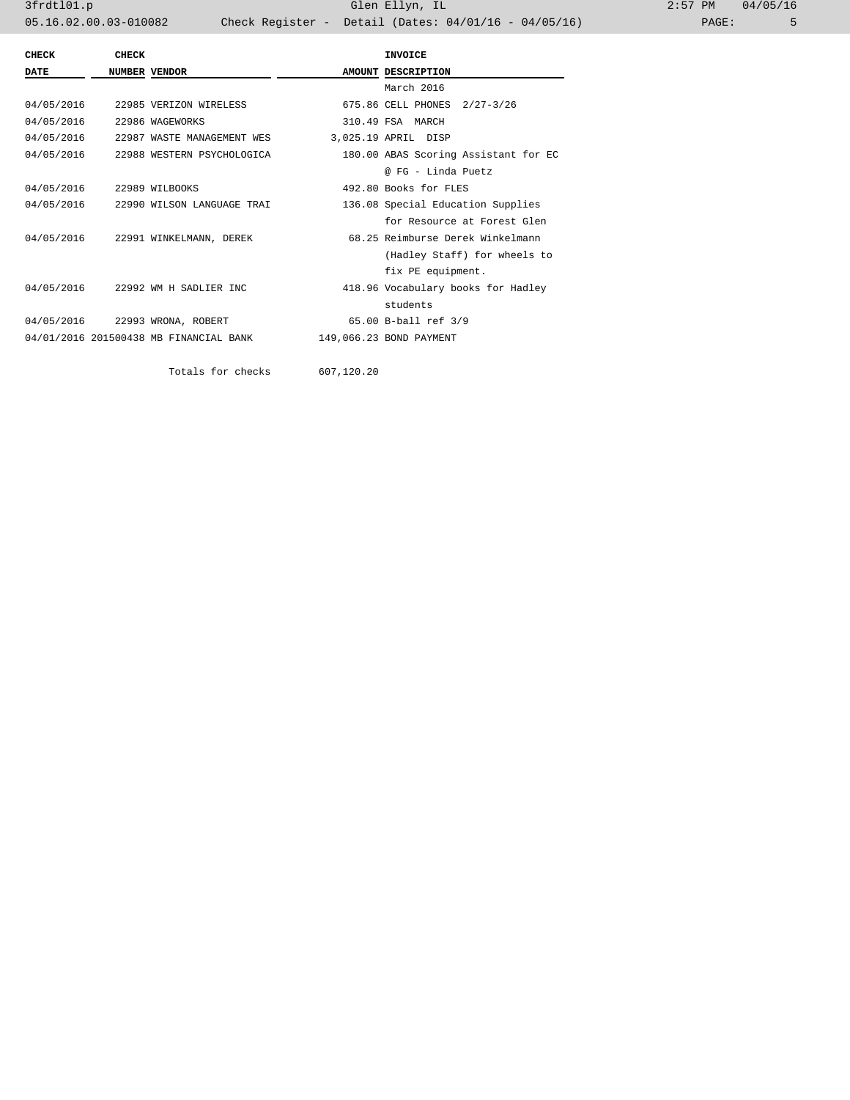3frdtl01.p Glen Ellyn, IL 2:57 PM 04/05/16 05.16.02.00.03-010082 Check Register - Detail (Dates: 04/01/16 - 04/05/16) PAGE: 5

| CHECK                      | CHECK |                                        | <b>INVOICE</b>                       |
|----------------------------|-------|----------------------------------------|--------------------------------------|
| <b>DATE</b>                |       | <b>NUMBER VENDOR</b>                   | AMOUNT DESCRIPTION                   |
|                            |       |                                        | March 2016                           |
|                            |       | 04/05/2016 22985 VERIZON WIRELESS      | 675.86 CELL PHONES 2/27-3/26         |
| 04/05/2016 22986 WAGEWORKS |       |                                        | 310.49 FSA MARCH                     |
|                            |       | 04/05/2016 22987 WASTE MANAGEMENT WES  | 3,025.19 APRIL DISP                  |
|                            |       | 04/05/2016 22988 WESTERN PSYCHOLOGICA  | 180.00 ABAS Scoring Assistant for EC |
|                            |       |                                        | @ FG - Linda Puetz                   |
| 04/05/2016 22989 WILBOOKS  |       |                                        | 492.80 Books for FLES                |
|                            |       | 04/05/2016 22990 WILSON LANGUAGE TRAI  | 136.08 Special Education Supplies    |
|                            |       |                                        | for Resource at Forest Glen          |
|                            |       | 04/05/2016 22991 WINKELMANN, DEREK     | 68.25 Reimburse Derek Winkelmann     |
|                            |       |                                        | (Hadley Staff) for wheels to         |
|                            |       |                                        | fix PE equipment.                    |
|                            |       | 04/05/2016 22992 WM H SADLIER INC      | 418.96 Vocabulary books for Hadley   |
|                            |       |                                        | students                             |
|                            |       | 04/05/2016 22993 WRONA, ROBERT         | 65.00 B-ball ref 3/9                 |
|                            |       | 04/01/2016 201500438 MB FINANCIAL BANK | 149,066.23 BOND PAYMENT              |
|                            |       |                                        |                                      |

Totals for checks 607,120.20